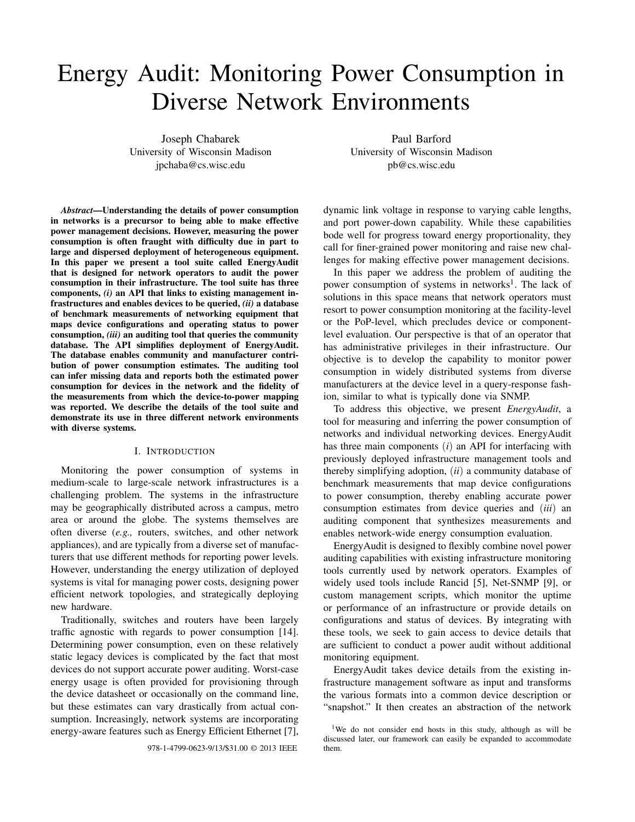# Energy Audit: Monitoring Power Consumption in Diverse Network Environments

Joseph Chabarek University of Wisconsin Madison jpchaba@cs.wisc.edu

*Abstract*—Understanding the details of power consumption in networks is a precursor to being able to make effective power management decisions. However, measuring the power consumption is often fraught with difficulty due in part to large and dispersed deployment of heterogeneous equipment. In this paper we present a tool suite called EnergyAudit that is designed for network operators to audit the power consumption in their infrastructure. The tool suite has three components, *(i)* an API that links to existing management infrastructures and enables devices to be queried, *(ii)* a database of benchmark measurements of networking equipment that maps device configurations and operating status to power consumption, *(iii)* an auditing tool that queries the community database. The API simplifies deployment of EnergyAudit. The database enables community and manufacturer contribution of power consumption estimates. The auditing tool can infer missing data and reports both the estimated power consumption for devices in the network and the fidelity of the measurements from which the device-to-power mapping was reported. We describe the details of the tool suite and demonstrate its use in three different network environments with diverse systems.

#### I. INTRODUCTION

Monitoring the power consumption of systems in medium-scale to large-scale network infrastructures is a challenging problem. The systems in the infrastructure may be geographically distributed across a campus, metro area or around the globe. The systems themselves are often diverse (*e.g.,* routers, switches, and other network appliances), and are typically from a diverse set of manufacturers that use different methods for reporting power levels. However, understanding the energy utilization of deployed systems is vital for managing power costs, designing power efficient network topologies, and strategically deploying new hardware.

Traditionally, switches and routers have been largely traffic agnostic with regards to power consumption [14]. Determining power consumption, even on these relatively static legacy devices is complicated by the fact that most devices do not support accurate power auditing. Worst-case energy usage is often provided for provisioning through the device datasheet or occasionally on the command line, but these estimates can vary drastically from actual consumption. Increasingly, network systems are incorporating energy-aware features such as Energy Efficient Ethernet [7],

978-1-4799-0623-9/13/\$31.00 © 2013 IEEE them.

Paul Barford University of Wisconsin Madison pb@cs.wisc.edu

dynamic link voltage in response to varying cable lengths, and port power-down capability. While these capabilities bode well for progress toward energy proportionality, they call for finer-grained power monitoring and raise new challenges for making effective power management decisions.

In this paper we address the problem of auditing the power consumption of systems in networks<sup>1</sup>. The lack of solutions in this space means that network operators must resort to power consumption monitoring at the facility-level or the PoP-level, which precludes device or componentlevel evaluation. Our perspective is that of an operator that has administrative privileges in their infrastructure. Our objective is to develop the capability to monitor power consumption in widely distributed systems from diverse manufacturers at the device level in a query-response fashion, similar to what is typically done via SNMP.

To address this objective, we present *EnergyAudit*, a tool for measuring and inferring the power consumption of networks and individual networking devices. EnergyAudit has three main components (*i*) an API for interfacing with previously deployed infrastructure management tools and thereby simplifying adoption, (*ii*) a community database of benchmark measurements that map device configurations to power consumption, thereby enabling accurate power consumption estimates from device queries and (*iii*) an auditing component that synthesizes measurements and enables network-wide energy consumption evaluation.

EnergyAudit is designed to flexibly combine novel power auditing capabilities with existing infrastructure monitoring tools currently used by network operators. Examples of widely used tools include Rancid [5], Net-SNMP [9], or custom management scripts, which monitor the uptime or performance of an infrastructure or provide details on configurations and status of devices. By integrating with these tools, we seek to gain access to device details that are sufficient to conduct a power audit without additional monitoring equipment.

EnergyAudit takes device details from the existing infrastructure management software as input and transforms the various formats into a common device description or "snapshot." It then creates an abstraction of the network

<sup>&</sup>lt;sup>1</sup>We do not consider end hosts in this study, although as will be discussed later, our framework can easily be expanded to accommodate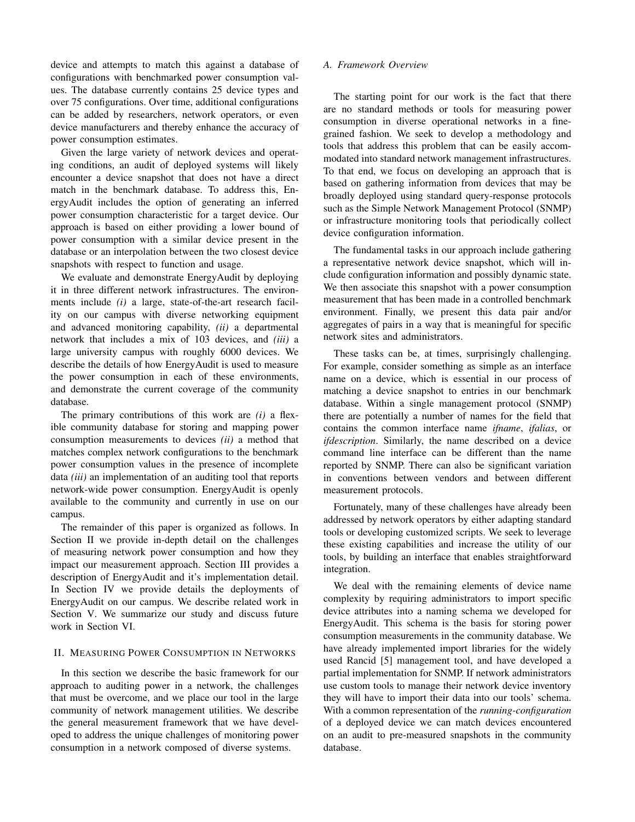device and attempts to match this against a database of configurations with benchmarked power consumption values. The database currently contains 25 device types and over 75 configurations. Over time, additional configurations can be added by researchers, network operators, or even device manufacturers and thereby enhance the accuracy of power consumption estimates.

Given the large variety of network devices and operating conditions, an audit of deployed systems will likely encounter a device snapshot that does not have a direct match in the benchmark database. To address this, EnergyAudit includes the option of generating an inferred power consumption characteristic for a target device. Our approach is based on either providing a lower bound of power consumption with a similar device present in the database or an interpolation between the two closest device snapshots with respect to function and usage.

We evaluate and demonstrate EnergyAudit by deploying it in three different network infrastructures. The environments include *(i)* a large, state-of-the-art research facility on our campus with diverse networking equipment and advanced monitoring capability, *(ii)* a departmental network that includes a mix of 103 devices, and *(iii)* a large university campus with roughly 6000 devices. We describe the details of how EnergyAudit is used to measure the power consumption in each of these environments, and demonstrate the current coverage of the community database.

The primary contributions of this work are *(i)* a flexible community database for storing and mapping power consumption measurements to devices *(ii)* a method that matches complex network configurations to the benchmark power consumption values in the presence of incomplete data *(iii)* an implementation of an auditing tool that reports network-wide power consumption. EnergyAudit is openly available to the community and currently in use on our campus.

The remainder of this paper is organized as follows. In Section II we provide in-depth detail on the challenges of measuring network power consumption and how they impact our measurement approach. Section III provides a description of EnergyAudit and it's implementation detail. In Section IV we provide details the deployments of EnergyAudit on our campus. We describe related work in Section V. We summarize our study and discuss future work in Section VI.

# II. MEASURING POWER CONSUMPTION IN NETWORKS

In this section we describe the basic framework for our approach to auditing power in a network, the challenges that must be overcome, and we place our tool in the large community of network management utilities. We describe the general measurement framework that we have developed to address the unique challenges of monitoring power consumption in a network composed of diverse systems.

#### *A. Framework Overview*

The starting point for our work is the fact that there are no standard methods or tools for measuring power consumption in diverse operational networks in a finegrained fashion. We seek to develop a methodology and tools that address this problem that can be easily accommodated into standard network management infrastructures. To that end, we focus on developing an approach that is based on gathering information from devices that may be broadly deployed using standard query-response protocols such as the Simple Network Management Protocol (SNMP) or infrastructure monitoring tools that periodically collect device configuration information.

The fundamental tasks in our approach include gathering a representative network device snapshot, which will include configuration information and possibly dynamic state. We then associate this snapshot with a power consumption measurement that has been made in a controlled benchmark environment. Finally, we present this data pair and/or aggregates of pairs in a way that is meaningful for specific network sites and administrators.

These tasks can be, at times, surprisingly challenging. For example, consider something as simple as an interface name on a device, which is essential in our process of matching a device snapshot to entries in our benchmark database. Within a single management protocol (SNMP) there are potentially a number of names for the field that contains the common interface name *ifname*, *ifalias*, or *ifdescription*. Similarly, the name described on a device command line interface can be different than the name reported by SNMP. There can also be significant variation in conventions between vendors and between different measurement protocols.

Fortunately, many of these challenges have already been addressed by network operators by either adapting standard tools or developing customized scripts. We seek to leverage these existing capabilities and increase the utility of our tools, by building an interface that enables straightforward integration.

We deal with the remaining elements of device name complexity by requiring administrators to import specific device attributes into a naming schema we developed for EnergyAudit. This schema is the basis for storing power consumption measurements in the community database. We have already implemented import libraries for the widely used Rancid [5] management tool, and have developed a partial implementation for SNMP. If network administrators use custom tools to manage their network device inventory they will have to import their data into our tools' schema. With a common representation of the *running-configuration* of a deployed device we can match devices encountered on an audit to pre-measured snapshots in the community database.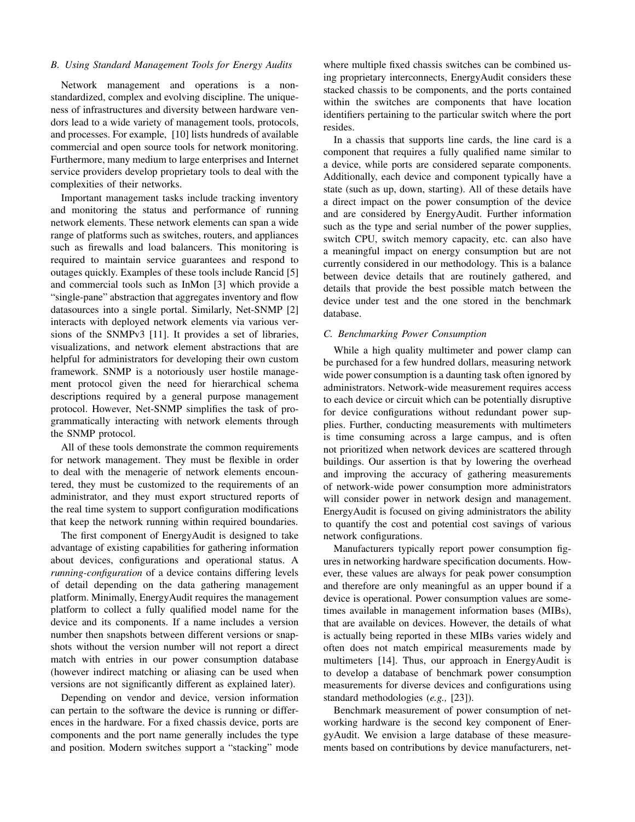#### *B. Using Standard Management Tools for Energy Audits*

Network management and operations is a nonstandardized, complex and evolving discipline. The uniqueness of infrastructures and diversity between hardware vendors lead to a wide variety of management tools, protocols, and processes. For example, [10] lists hundreds of available commercial and open source tools for network monitoring. Furthermore, many medium to large enterprises and Internet service providers develop proprietary tools to deal with the complexities of their networks.

Important management tasks include tracking inventory and monitoring the status and performance of running network elements. These network elements can span a wide range of platforms such as switches, routers, and appliances such as firewalls and load balancers. This monitoring is required to maintain service guarantees and respond to outages quickly. Examples of these tools include Rancid [5] and commercial tools such as InMon [3] which provide a "single-pane" abstraction that aggregates inventory and flow datasources into a single portal. Similarly, Net-SNMP [2] interacts with deployed network elements via various versions of the SNMPv3 [11]. It provides a set of libraries, visualizations, and network element abstractions that are helpful for administrators for developing their own custom framework. SNMP is a notoriously user hostile management protocol given the need for hierarchical schema descriptions required by a general purpose management protocol. However, Net-SNMP simplifies the task of programmatically interacting with network elements through the SNMP protocol.

All of these tools demonstrate the common requirements for network management. They must be flexible in order to deal with the menagerie of network elements encountered, they must be customized to the requirements of an administrator, and they must export structured reports of the real time system to support configuration modifications that keep the network running within required boundaries.

The first component of EnergyAudit is designed to take advantage of existing capabilities for gathering information about devices, configurations and operational status. A *running-configuration* of a device contains differing levels of detail depending on the data gathering management platform. Minimally, EnergyAudit requires the management platform to collect a fully qualified model name for the device and its components. If a name includes a version number then snapshots between different versions or snapshots without the version number will not report a direct match with entries in our power consumption database (however indirect matching or aliasing can be used when versions are not significantly different as explained later).

Depending on vendor and device, version information can pertain to the software the device is running or differences in the hardware. For a fixed chassis device, ports are components and the port name generally includes the type and position. Modern switches support a "stacking" mode

where multiple fixed chassis switches can be combined using proprietary interconnects, EnergyAudit considers these stacked chassis to be components, and the ports contained within the switches are components that have location identifiers pertaining to the particular switch where the port resides.

In a chassis that supports line cards, the line card is a component that requires a fully qualified name similar to a device, while ports are considered separate components. Additionally, each device and component typically have a state (such as up, down, starting). All of these details have a direct impact on the power consumption of the device and are considered by EnergyAudit. Further information such as the type and serial number of the power supplies, switch CPU, switch memory capacity, etc. can also have a meaningful impact on energy consumption but are not currently considered in our methodology. This is a balance between device details that are routinely gathered, and details that provide the best possible match between the device under test and the one stored in the benchmark database.

#### *C. Benchmarking Power Consumption*

While a high quality multimeter and power clamp can be purchased for a few hundred dollars, measuring network wide power consumption is a daunting task often ignored by administrators. Network-wide measurement requires access to each device or circuit which can be potentially disruptive for device configurations without redundant power supplies. Further, conducting measurements with multimeters is time consuming across a large campus, and is often not prioritized when network devices are scattered through buildings. Our assertion is that by lowering the overhead and improving the accuracy of gathering measurements of network-wide power consumption more administrators will consider power in network design and management. EnergyAudit is focused on giving administrators the ability to quantify the cost and potential cost savings of various network configurations.

Manufacturers typically report power consumption figures in networking hardware specification documents. However, these values are always for peak power consumption and therefore are only meaningful as an upper bound if a device is operational. Power consumption values are sometimes available in management information bases (MIBs), that are available on devices. However, the details of what is actually being reported in these MIBs varies widely and often does not match empirical measurements made by multimeters [14]. Thus, our approach in EnergyAudit is to develop a database of benchmark power consumption measurements for diverse devices and configurations using standard methodologies (*e.g.,* [23]).

Benchmark measurement of power consumption of networking hardware is the second key component of EnergyAudit. We envision a large database of these measurements based on contributions by device manufacturers, net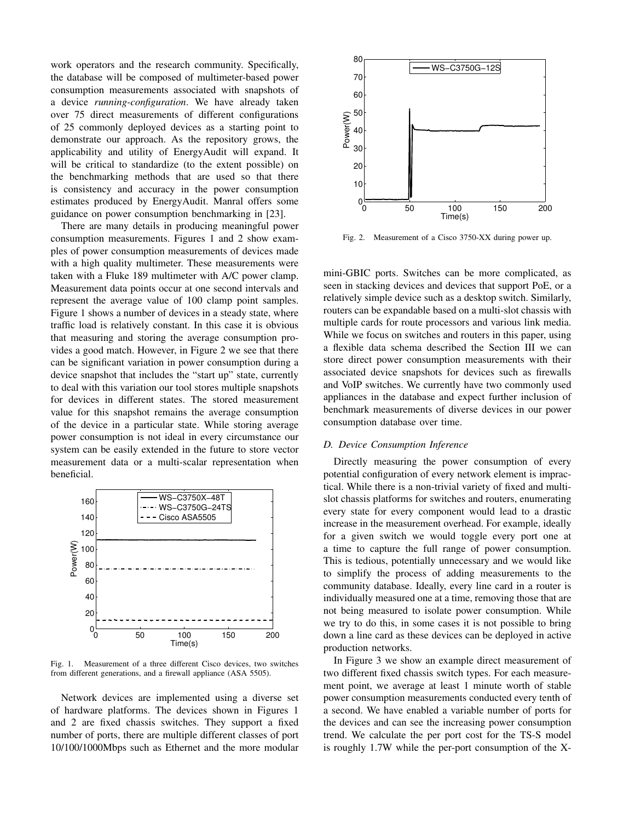work operators and the research community. Specifically, the database will be composed of multimeter-based power consumption measurements associated with snapshots of a device *running-configuration*. We have already taken over 75 direct measurements of different configurations of 25 commonly deployed devices as a starting point to demonstrate our approach. As the repository grows, the applicability and utility of EnergyAudit will expand. It will be critical to standardize (to the extent possible) on the benchmarking methods that are used so that there is consistency and accuracy in the power consumption estimates produced by EnergyAudit. Manral offers some guidance on power consumption benchmarking in [23].

There are many details in producing meaningful power consumption measurements. Figures 1 and 2 show examples of power consumption measurements of devices made with a high quality multimeter. These measurements were taken with a Fluke 189 multimeter with A/C power clamp. Measurement data points occur at one second intervals and represent the average value of 100 clamp point samples. Figure 1 shows a number of devices in a steady state, where traffic load is relatively constant. In this case it is obvious that measuring and storing the average consumption provides a good match. However, in Figure 2 we see that there can be significant variation in power consumption during a device snapshot that includes the "start up" state, currently to deal with this variation our tool stores multiple snapshots for devices in different states. The stored measurement value for this snapshot remains the average consumption of the device in a particular state. While storing average power consumption is not ideal in every circumstance our system can be easily extended in the future to store vector measurement data or a multi-scalar representation when beneficial.



Fig. 1. Measurement of a three different Cisco devices, two switches from different generations, and a firewall appliance (ASA 5505).

Network devices are implemented using a diverse set of hardware platforms. The devices shown in Figures 1 and 2 are fixed chassis switches. They support a fixed number of ports, there are multiple different classes of port 10/100/1000Mbps such as Ethernet and the more modular



Fig. 2. Measurement of a Cisco 3750-XX during power up.

mini-GBIC ports. Switches can be more complicated, as seen in stacking devices and devices that support PoE, or a relatively simple device such as a desktop switch. Similarly, routers can be expandable based on a multi-slot chassis with multiple cards for route processors and various link media. While we focus on switches and routers in this paper, using a flexible data schema described the Section III we can store direct power consumption measurements with their associated device snapshots for devices such as firewalls and VoIP switches. We currently have two commonly used appliances in the database and expect further inclusion of benchmark measurements of diverse devices in our power consumption database over time.

# *D. Device Consumption Inference*

Directly measuring the power consumption of every potential configuration of every network element is impractical. While there is a non-trivial variety of fixed and multislot chassis platforms for switches and routers, enumerating every state for every component would lead to a drastic increase in the measurement overhead. For example, ideally for a given switch we would toggle every port one at a time to capture the full range of power consumption. This is tedious, potentially unnecessary and we would like to simplify the process of adding measurements to the community database. Ideally, every line card in a router is individually measured one at a time, removing those that are not being measured to isolate power consumption. While we try to do this, in some cases it is not possible to bring down a line card as these devices can be deployed in active production networks.

In Figure 3 we show an example direct measurement of two different fixed chassis switch types. For each measurement point, we average at least 1 minute worth of stable power consumption measurements conducted every tenth of a second. We have enabled a variable number of ports for the devices and can see the increasing power consumption trend. We calculate the per port cost for the TS-S model is roughly 1.7W while the per-port consumption of the X-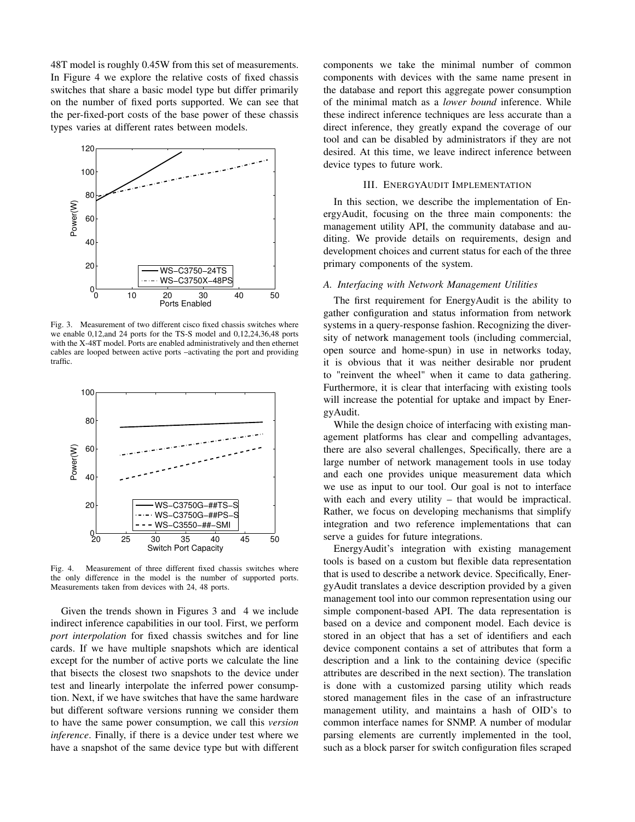48T model is roughly 0.45W from this set of measurements. In Figure 4 we explore the relative costs of fixed chassis switches that share a basic model type but differ primarily on the number of fixed ports supported. We can see that the per-fixed-port costs of the base power of these chassis types varies at different rates between models.



Fig. 3. Measurement of two different cisco fixed chassis switches where we enable 0,12,and 24 ports for the TS-S model and 0,12,24,36,48 ports with the X-48T model. Ports are enabled administratively and then ethernet cables are looped between active ports –activating the port and providing traffic.



Fig. 4. Measurement of three different fixed chassis switches where the only difference in the model is the number of supported ports. Measurements taken from devices with 24, 48 ports.

Given the trends shown in Figures 3 and 4 we include indirect inference capabilities in our tool. First, we perform *port interpolation* for fixed chassis switches and for line cards. If we have multiple snapshots which are identical except for the number of active ports we calculate the line that bisects the closest two snapshots to the device under test and linearly interpolate the inferred power consumption. Next, if we have switches that have the same hardware but different software versions running we consider them to have the same power consumption, we call this *version inference*. Finally, if there is a device under test where we have a snapshot of the same device type but with different

components we take the minimal number of common components with devices with the same name present in the database and report this aggregate power consumption of the minimal match as a *lower bound* inference. While these indirect inference techniques are less accurate than a direct inference, they greatly expand the coverage of our tool and can be disabled by administrators if they are not desired. At this time, we leave indirect inference between device types to future work.

#### III. ENERGYAUDIT IMPLEMENTATION

In this section, we describe the implementation of EnergyAudit, focusing on the three main components: the management utility API, the community database and auditing. We provide details on requirements, design and development choices and current status for each of the three primary components of the system.

# *A. Interfacing with Network Management Utilities*

The first requirement for EnergyAudit is the ability to gather configuration and status information from network systems in a query-response fashion. Recognizing the diversity of network management tools (including commercial, open source and home-spun) in use in networks today, it is obvious that it was neither desirable nor prudent to "reinvent the wheel" when it came to data gathering. Furthermore, it is clear that interfacing with existing tools will increase the potential for uptake and impact by EnergyAudit.

While the design choice of interfacing with existing management platforms has clear and compelling advantages, there are also several challenges, Specifically, there are a large number of network management tools in use today and each one provides unique measurement data which we use as input to our tool. Our goal is not to interface with each and every utility – that would be impractical. Rather, we focus on developing mechanisms that simplify integration and two reference implementations that can serve a guides for future integrations.

EnergyAudit's integration with existing management tools is based on a custom but flexible data representation that is used to describe a network device. Specifically, EnergyAudit translates a device description provided by a given management tool into our common representation using our simple component-based API. The data representation is based on a device and component model. Each device is stored in an object that has a set of identifiers and each device component contains a set of attributes that form a description and a link to the containing device (specific attributes are described in the next section). The translation is done with a customized parsing utility which reads stored management files in the case of an infrastructure management utility, and maintains a hash of OID's to common interface names for SNMP. A number of modular parsing elements are currently implemented in the tool, such as a block parser for switch configuration files scraped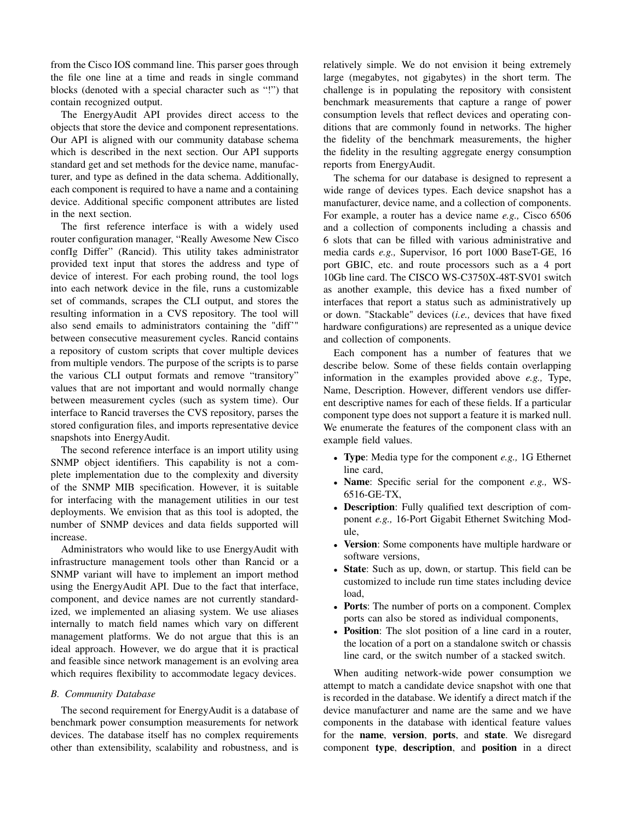from the Cisco IOS command line. This parser goes through the file one line at a time and reads in single command blocks (denoted with a special character such as "!") that contain recognized output.

The EnergyAudit API provides direct access to the objects that store the device and component representations. Our API is aligned with our community database schema which is described in the next section. Our API supports standard get and set methods for the device name, manufacturer, and type as defined in the data schema. Additionally, each component is required to have a name and a containing device. Additional specific component attributes are listed in the next section.

The first reference interface is with a widely used router configuration manager, "Really Awesome New Cisco confIg Differ" (Rancid). This utility takes administrator provided text input that stores the address and type of device of interest. For each probing round, the tool logs into each network device in the file, runs a customizable set of commands, scrapes the CLI output, and stores the resulting information in a CVS repository. The tool will also send emails to administrators containing the "diff'" between consecutive measurement cycles. Rancid contains a repository of custom scripts that cover multiple devices from multiple vendors. The purpose of the scripts is to parse the various CLI output formats and remove "transitory" values that are not important and would normally change between measurement cycles (such as system time). Our interface to Rancid traverses the CVS repository, parses the stored configuration files, and imports representative device snapshots into EnergyAudit.

The second reference interface is an import utility using SNMP object identifiers. This capability is not a complete implementation due to the complexity and diversity of the SNMP MIB specification. However, it is suitable for interfacing with the management utilities in our test deployments. We envision that as this tool is adopted, the number of SNMP devices and data fields supported will increase.

Administrators who would like to use EnergyAudit with infrastructure management tools other than Rancid or a SNMP variant will have to implement an import method using the EnergyAudit API. Due to the fact that interface, component, and device names are not currently standardized, we implemented an aliasing system. We use aliases internally to match field names which vary on different management platforms. We do not argue that this is an ideal approach. However, we do argue that it is practical and feasible since network management is an evolving area which requires flexibility to accommodate legacy devices.

# *B. Community Database*

The second requirement for EnergyAudit is a database of benchmark power consumption measurements for network devices. The database itself has no complex requirements other than extensibility, scalability and robustness, and is relatively simple. We do not envision it being extremely large (megabytes, not gigabytes) in the short term. The challenge is in populating the repository with consistent benchmark measurements that capture a range of power consumption levels that reflect devices and operating conditions that are commonly found in networks. The higher the fidelity of the benchmark measurements, the higher the fidelity in the resulting aggregate energy consumption reports from EnergyAudit.

The schema for our database is designed to represent a wide range of devices types. Each device snapshot has a manufacturer, device name, and a collection of components. For example, a router has a device name *e.g.,* Cisco 6506 and a collection of components including a chassis and 6 slots that can be filled with various administrative and media cards *e.g.,* Supervisor, 16 port 1000 BaseT-GE, 16 port GBIC, etc. and route processors such as a 4 port 10Gb line card. The CISCO WS-C3750X-48T-SV01 switch as another example, this device has a fixed number of interfaces that report a status such as administratively up or down. "Stackable" devices (*i.e.,* devices that have fixed hardware configurations) are represented as a unique device and collection of components.

Each component has a number of features that we describe below. Some of these fields contain overlapping information in the examples provided above *e.g.,* Type, Name, Description. However, different vendors use different descriptive names for each of these fields. If a particular component type does not support a feature it is marked null. We enumerate the features of the component class with an example field values.

- *•* Type: Media type for the component *e.g.,* 1G Ethernet line card,
- *•* Name: Specific serial for the component *e.g.,* WS-6516-GE-TX,
- *•* Description: Fully qualified text description of component *e.g.,* 16-Port Gigabit Ethernet Switching Module,
- *•* Version: Some components have multiple hardware or software versions,
- **State**: Such as up, down, or startup. This field can be customized to include run time states including device load,
- Ports: The number of ports on a component. Complex ports can also be stored as individual components,
- *•* Position: The slot position of a line card in a router, the location of a port on a standalone switch or chassis line card, or the switch number of a stacked switch.

When auditing network-wide power consumption we attempt to match a candidate device snapshot with one that is recorded in the database. We identify a direct match if the device manufacturer and name are the same and we have components in the database with identical feature values for the name, version, ports, and state. We disregard component type, description, and position in a direct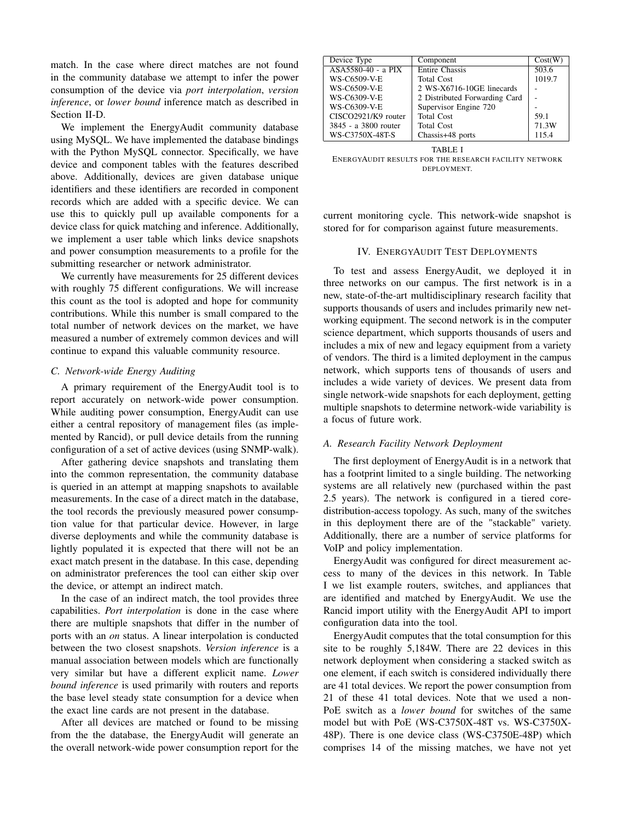match. In the case where direct matches are not found in the community database we attempt to infer the power consumption of the device via *port interpolation*, *version inference*, or *lower bound* inference match as described in Section II-D.

We implement the EnergyAudit community database using MySQL. We have implemented the database bindings with the Python MySQL connector. Specifically, we have device and component tables with the features described above. Additionally, devices are given database unique identifiers and these identifiers are recorded in component records which are added with a specific device. We can use this to quickly pull up available components for a device class for quick matching and inference. Additionally, we implement a user table which links device snapshots and power consumption measurements to a profile for the submitting researcher or network administrator.

We currently have measurements for 25 different devices with roughly 75 different configurations. We will increase this count as the tool is adopted and hope for community contributions. While this number is small compared to the total number of network devices on the market, we have measured a number of extremely common devices and will continue to expand this valuable community resource.

# *C. Network-wide Energy Auditing*

A primary requirement of the EnergyAudit tool is to report accurately on network-wide power consumption. While auditing power consumption, EnergyAudit can use either a central repository of management files (as implemented by Rancid), or pull device details from the running configuration of a set of active devices (using SNMP-walk).

After gathering device snapshots and translating them into the common representation, the community database is queried in an attempt at mapping snapshots to available measurements. In the case of a direct match in the database, the tool records the previously measured power consumption value for that particular device. However, in large diverse deployments and while the community database is lightly populated it is expected that there will not be an exact match present in the database. In this case, depending on administrator preferences the tool can either skip over the device, or attempt an indirect match.

In the case of an indirect match, the tool provides three capabilities. *Port interpolation* is done in the case where there are multiple snapshots that differ in the number of ports with an *on* status. A linear interpolation is conducted between the two closest snapshots. *Version inference* is a manual association between models which are functionally very similar but have a different explicit name. *Lower bound inference* is used primarily with routers and reports the base level steady state consumption for a device when the exact line cards are not present in the database.

After all devices are matched or found to be missing from the the database, the EnergyAudit will generate an the overall network-wide power consumption report for the

| Device Type          | Component                     | Cost(W) |
|----------------------|-------------------------------|---------|
| ASA5580-40 - a PIX   | <b>Entire Chassis</b>         | 503.6   |
| WS-C6509-V-E         | <b>Total Cost</b>             | 1019.7  |
| WS-C6509-V-E         | 2 WS-X6716-10GE linecards     |         |
| WS-C6309-V-E         | 2 Distributed Forwarding Card |         |
| WS-C6309-V-E         | Supervisor Engine 720         |         |
| CISCO2921/K9 router  | <b>Total Cost</b>             | 59.1    |
| 3845 - a 3800 router | <b>Total Cost</b>             | 71.3W   |
| WS-C3750X-48T-S      | Chassis+48 ports              | 115.4   |
|                      |                               |         |

TABLE I ENERGYAUDIT RESULTS FOR THE RESEARCH FACILITY NETWORK DEPLOYMENT.

current monitoring cycle. This network-wide snapshot is stored for for comparison against future measurements.

# IV. ENERGYAUDIT TEST DEPLOYMENTS

To test and assess EnergyAudit, we deployed it in three networks on our campus. The first network is in a new, state-of-the-art multidisciplinary research facility that supports thousands of users and includes primarily new networking equipment. The second network is in the computer science department, which supports thousands of users and includes a mix of new and legacy equipment from a variety of vendors. The third is a limited deployment in the campus network, which supports tens of thousands of users and includes a wide variety of devices. We present data from single network-wide snapshots for each deployment, getting multiple snapshots to determine network-wide variability is a focus of future work.

# *A. Research Facility Network Deployment*

The first deployment of EnergyAudit is in a network that has a footprint limited to a single building. The networking systems are all relatively new (purchased within the past 2.5 years). The network is configured in a tiered coredistribution-access topology. As such, many of the switches in this deployment there are of the "stackable" variety. Additionally, there are a number of service platforms for VoIP and policy implementation.

EnergyAudit was configured for direct measurement access to many of the devices in this network. In Table I we list example routers, switches, and appliances that are identified and matched by EnergyAudit. We use the Rancid import utility with the EnergyAudit API to import configuration data into the tool.

EnergyAudit computes that the total consumption for this site to be roughly 5,184W. There are 22 devices in this network deployment when considering a stacked switch as one element, if each switch is considered individually there are 41 total devices. We report the power consumption from 21 of these 41 total devices. Note that we used a non-PoE switch as a *lower bound* for switches of the same model but with PoE (WS-C3750X-48T vs. WS-C3750X-48P). There is one device class (WS-C3750E-48P) which comprises 14 of the missing matches, we have not yet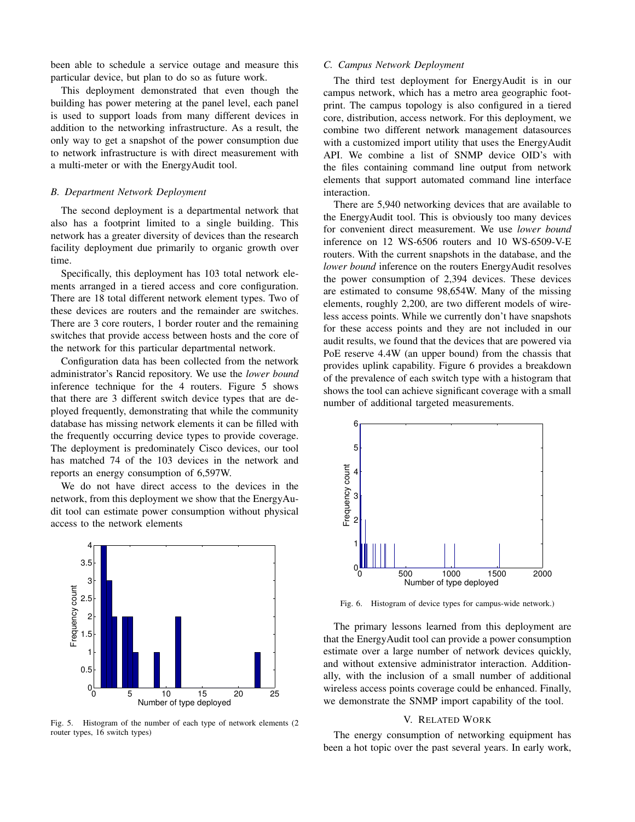been able to schedule a service outage and measure this particular device, but plan to do so as future work.

This deployment demonstrated that even though the building has power metering at the panel level, each panel is used to support loads from many different devices in addition to the networking infrastructure. As a result, the only way to get a snapshot of the power consumption due to network infrastructure is with direct measurement with a multi-meter or with the EnergyAudit tool.

## *B. Department Network Deployment*

The second deployment is a departmental network that also has a footprint limited to a single building. This network has a greater diversity of devices than the research facility deployment due primarily to organic growth over time.

Specifically, this deployment has 103 total network elements arranged in a tiered access and core configuration. There are 18 total different network element types. Two of these devices are routers and the remainder are switches. There are 3 core routers, 1 border router and the remaining switches that provide access between hosts and the core of the network for this particular departmental network.

Configuration data has been collected from the network administrator's Rancid repository. We use the *lower bound* inference technique for the 4 routers. Figure 5 shows that there are 3 different switch device types that are deployed frequently, demonstrating that while the community database has missing network elements it can be filled with the frequently occurring device types to provide coverage. The deployment is predominately Cisco devices, our tool has matched 74 of the 103 devices in the network and reports an energy consumption of 6,597W.

We do not have direct access to the devices in the network, from this deployment we show that the EnergyAudit tool can estimate power consumption without physical access to the network elements



Fig. 5. Histogram of the number of each type of network elements (2 router types, 16 switch types)

#### *C. Campus Network Deployment*

The third test deployment for EnergyAudit is in our campus network, which has a metro area geographic footprint. The campus topology is also configured in a tiered core, distribution, access network. For this deployment, we combine two different network management datasources with a customized import utility that uses the EnergyAudit API. We combine a list of SNMP device OID's with the files containing command line output from network elements that support automated command line interface interaction.

There are 5,940 networking devices that are available to the EnergyAudit tool. This is obviously too many devices for convenient direct measurement. We use *lower bound* inference on 12 WS-6506 routers and 10 WS-6509-V-E routers. With the current snapshots in the database, and the *lower bound* inference on the routers EnergyAudit resolves the power consumption of 2,394 devices. These devices are estimated to consume 98,654W. Many of the missing elements, roughly 2,200, are two different models of wireless access points. While we currently don't have snapshots for these access points and they are not included in our audit results, we found that the devices that are powered via PoE reserve 4.4W (an upper bound) from the chassis that provides uplink capability. Figure 6 provides a breakdown of the prevalence of each switch type with a histogram that shows the tool can achieve significant coverage with a small number of additional targeted measurements.



Fig. 6. Histogram of device types for campus-wide network.)

The primary lessons learned from this deployment are that the EnergyAudit tool can provide a power consumption estimate over a large number of network devices quickly, and without extensive administrator interaction. Additionally, with the inclusion of a small number of additional wireless access points coverage could be enhanced. Finally, we demonstrate the SNMP import capability of the tool.

### V. RELATED WORK

The energy consumption of networking equipment has been a hot topic over the past several years. In early work,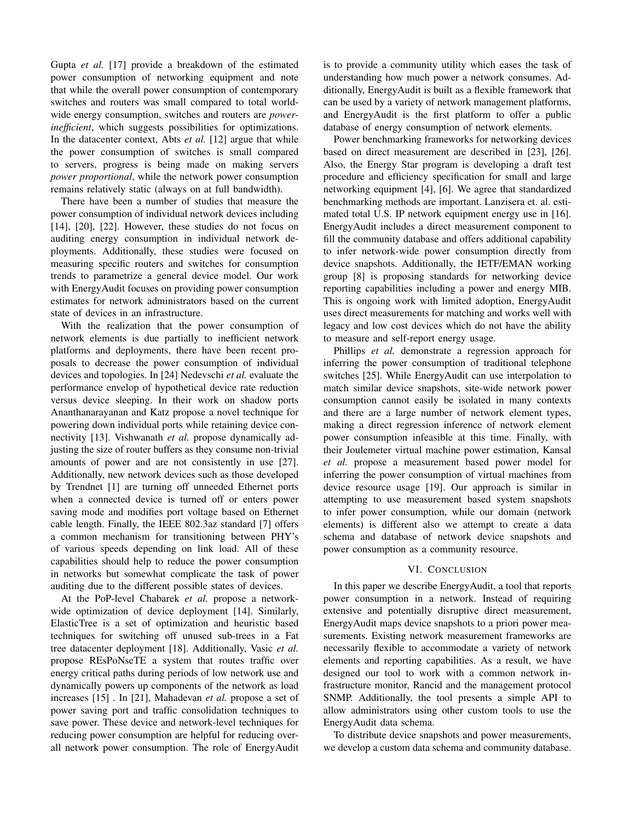Gupta *et al.* [17] provide a breakdown of the estimated power consumption of networking equipment and note that while the overall power consumption of contemporary switches and routers was small compared to total worldwide energy consumption, switches and routers are *powerinefficient*, which suggests possibilities for optimizations. In the datacenter context, Abts *et al.* [12] argue that while the power consumption of switches is small compared to servers, progress is being made on making servers *power proportional*, while the network power consumption remains relatively static (always on at full bandwidth).

There have been a number of studies that measure the power consumption of individual network devices including [14], [20], [22]. However, these studies do not focus on auditing energy consumption in individual network deployments. Additionally, these studies were focused on measuring specific routers and switches for consumption trends to parametrize a general device model. Our work with EnergyAudit focuses on providing power consumption estimates for network administrators based on the current state of devices in an infrastructure.

With the realization that the power consumption of network elements is due partially to inefficient network platforms and deployments, there have been recent proposals to decrease the power consumption of individual devices and topologies. In [24] Nedevschi *et al.* evaluate the performance envelop of hypothetical device rate reduction versus device sleeping. In their work on shadow ports Ananthanarayanan and Katz propose a novel technique for powering down individual ports while retaining device connectivity [13]. Vishwanath *et al.* propose dynamically adjusting the size of router buffers as they consume non-trivial amounts of power and are not consistently in use [27]. Additionally, new network devices such as those developed by Trendnet [1] are turning off unneeded Ethernet ports when a connected device is turned off or enters power saving mode and modifies port voltage based on Ethernet cable length. Finally, the IEEE 802.3az standard [7] offers a common mechanism for transitioning between PHY's of various speeds depending on link load. All of these capabilities should help to reduce the power consumption in networks but somewhat complicate the task of power auditing due to the different possible states of devices.

At the PoP-level Chabarek *et al.* propose a networkwide optimization of device deployment [14]. Similarly, ElasticTree is a set of optimization and heuristic based techniques for switching off unused sub-trees in a Fat tree datacenter deployment [18]. Additionally, Vasic *et al.* propose REsPoNseTE a system that routes traffic over energy critical paths during periods of low network use and dynamically powers up components of the network as load increases [15] . In [21], Mahadevan *et al.* propose a set of power saving port and traffic consolidation techniques to save power. These device and network-level techniques for reducing power consumption are helpful for reducing overall network power consumption. The role of EnergyAudit is to provide a community utility which eases the task of understanding how much power a network consumes. Additionally, EnergyAudit is built as a flexible framework that can be used by a variety of network management platforms, and EnergyAudit is the first platform to offer a public database of energy consumption of network elements.

Power benchmarking frameworks for networking devices based on direct measurement are described in [23], [26]. Also, the Energy Star program is developing a draft test procedure and efficiency specification for small and large networking equipment [4], [6]. We agree that standardized benchmarking methods are important. Lanzisera et. al. estimated total U.S. IP network equipment energy use in [16]. EnergyAudit includes a direct measurement component to fill the community database and offers additional capability to infer network-wide power consumption directly from device snapshots. Additionally, the IETF/EMAN working group [8] is proposing standards for networking device reporting capabilities including a power and energy MIB. This is ongoing work with limited adoption, EnergyAudit uses direct measurements for matching and works well with legacy and low cost devices which do not have the ability to measure and self-report energy usage.

Phillips *et al.* demonstrate a regression approach for inferring the power consumption of traditional telephone switches [25]. While EnergyAudit can use interpolation to match similar device snapshots, site-wide network power consumption cannot easily be isolated in many contexts and there are a large number of network element types, making a direct regression inference of network element power consumption infeasible at this time. Finally, with their Joulemeter virtual machine power estimation, Kansal *et al.* propose a measurement based power model for inferring the power consumption of virtual machines from device resource usage [19]. Our approach is similar in attempting to use measurement based system snapshots to infer power consumption, while our domain (network elements) is different also we attempt to create a data schema and database of network device snapshots and power consumption as a community resource.

#### VI. CONCLUSION

In this paper we describe EnergyAudit, a tool that reports power consumption in a network. Instead of requiring extensive and potentially disruptive direct measurement, EnergyAudit maps device snapshots to a priori power measurements. Existing network measurement frameworks are necessarily flexible to accommodate a variety of network elements and reporting capabilities. As a result, we have designed our tool to work with a common network infrastructure monitor, Rancid and the management protocol SNMP. Additionally, the tool presents a simple API to allow administrators using other custom tools to use the EnergyAudit data schema.

To distribute device snapshots and power measurements, we develop a custom data schema and community database.